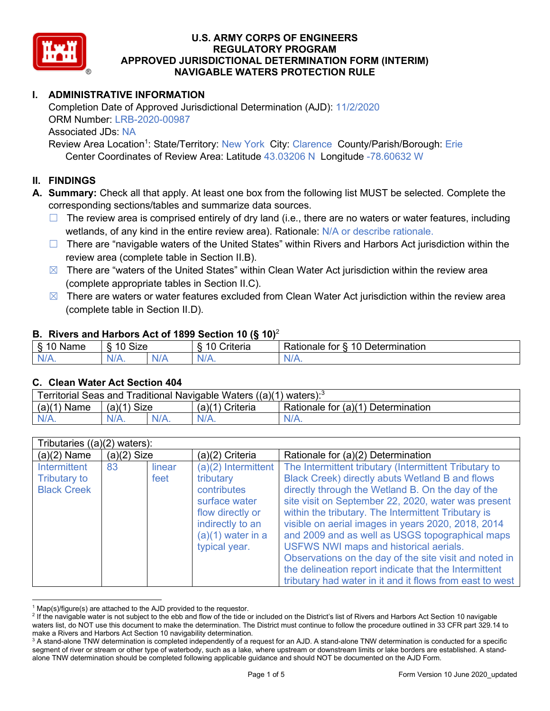

# **I. ADMINISTRATIVE INFORMATION**

Completion Date of Approved Jurisdictional Determination (AJD): 11/2/2020 ORM Number: LRB-2020-00987 Associated JDs: NA Review Area Location<sup>1</sup>: State/Territory: New York City: Clarence County/Parish/Borough: Erie

Center Coordinates of Review Area: Latitude 43.03206 N Longitude -78.60632 W

# **II. FINDINGS**

**A. Summary:** Check all that apply. At least one box from the following list MUST be selected. Complete the corresponding sections/tables and summarize data sources.

- $\Box$  The review area is comprised entirely of dry land (i.e., there are no waters or water features, including wetlands, of any kind in the entire review area). Rationale: N/A or describe rationale.
- $\Box$  There are "navigable waters of the United States" within Rivers and Harbors Act jurisdiction within the review area (complete table in Section II.B).
- $\boxtimes$  There are "waters of the United States" within Clean Water Act jurisdiction within the review area (complete appropriate tables in Section II.C).
- $\boxtimes$  There are waters or water features excluded from Clean Water Act jurisdiction within the review area (complete table in Section II.D).

#### **B. Rivers and Harbors Act of 1899 Section 10 (§ 10)**<sup>2</sup>

| $\cdot$                                |            |     |                          |                                                         |  |  |  |
|----------------------------------------|------------|-----|--------------------------|---------------------------------------------------------|--|--|--|
| $\sim$<br>100 <sup>2</sup><br>ame<br>v | Size<br>10 |     | .<br>10<br>-<br>∶riteria | ∽<br>-<br>$\Delta$<br>Rationale<br>Jetermination<br>tor |  |  |  |
| $N/A$ .                                | $N/A$ .    | N/r | $N/A$ .                  | 'NL<br>$\mathbf{v}$                                     |  |  |  |

#### **C. Clean Water Act Section 404**

| Territorial Seas and Traditional Navigable Waters $((a)(1)$ waters): <sup>3</sup> |                |  |                 |                                    |  |  |
|-----------------------------------------------------------------------------------|----------------|--|-----------------|------------------------------------|--|--|
| (a)(1)<br>Name                                                                    | Size<br>(a)(1) |  | (a)(1) Criteria | Rationale for (a)(1) Determination |  |  |
|                                                                                   | $N/A$ .        |  | $N/A$ .         | $N/A$ .                            |  |  |

| Tributaries $((a)(2)$ waters):                                   |               |                |                                                                                                                                                  |                                                                                                                                                                                                                                                                                                                                                                                                                                                                                                        |
|------------------------------------------------------------------|---------------|----------------|--------------------------------------------------------------------------------------------------------------------------------------------------|--------------------------------------------------------------------------------------------------------------------------------------------------------------------------------------------------------------------------------------------------------------------------------------------------------------------------------------------------------------------------------------------------------------------------------------------------------------------------------------------------------|
| $(a)(2)$ Name                                                    | $(a)(2)$ Size |                | (a)(2) Criteria                                                                                                                                  | Rationale for (a)(2) Determination                                                                                                                                                                                                                                                                                                                                                                                                                                                                     |
| <b>Intermittent</b><br><b>Tributary to</b><br><b>Black Creek</b> | 83            | linear<br>feet | (a)(2) Intermittent<br>tributary<br>contributes<br>surface water<br>flow directly or<br>indirectly to an<br>$(a)(1)$ water in a<br>typical year. | The Intermittent tributary (Intermittent Tributary to<br><b>Black Creek) directly abuts Wetland B and flows</b><br>directly through the Wetland B. On the day of the<br>site visit on September 22, 2020, water was present<br>within the tributary. The Intermittent Tributary is<br>visible on aerial images in years 2020, 2018, 2014<br>and 2009 and as well as USGS topographical maps<br><b>USFWS NWI maps and historical aerials.</b><br>Observations on the day of the site visit and noted in |
|                                                                  |               |                |                                                                                                                                                  | the delineation report indicate that the Intermittent<br>tributary had water in it and it flows from east to west                                                                                                                                                                                                                                                                                                                                                                                      |

 $1$  Map(s)/figure(s) are attached to the AJD provided to the requestor.

<sup>&</sup>lt;sup>2</sup> If the navigable water is not subject to the ebb and flow of the tide or included on the District's list of Rivers and Harbors Act Section 10 navigable waters list, do NOT use this document to make the determination. The District must continue to follow the procedure outlined in 33 CFR part 329.14 to make a Rivers and Harbors Act Section 10 navigability determination.

<sup>&</sup>lt;sup>3</sup> A stand-alone TNW determination is completed independently of a request for an AJD. A stand-alone TNW determination is conducted for a specific segment of river or stream or other type of waterbody, such as a lake, where upstream or downstream limits or lake borders are established. A standalone TNW determination should be completed following applicable guidance and should NOT be documented on the AJD Form.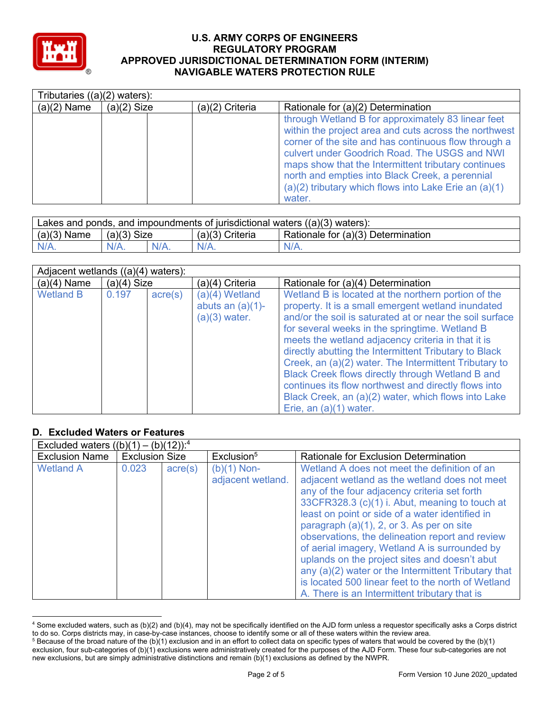

| Tributaries $((a)(2)$ waters): |               |                 |                                                                                                                                                                                                                                                                                                                                                                                                   |  |  |
|--------------------------------|---------------|-----------------|---------------------------------------------------------------------------------------------------------------------------------------------------------------------------------------------------------------------------------------------------------------------------------------------------------------------------------------------------------------------------------------------------|--|--|
| $(a)(2)$ Name                  | $(a)(2)$ Size | (a)(2) Criteria | Rationale for (a)(2) Determination                                                                                                                                                                                                                                                                                                                                                                |  |  |
|                                |               |                 | through Wetland B for approximately 83 linear feet<br>within the project area and cuts across the northwest<br>corner of the site and has continuous flow through a<br>culvert under Goodrich Road. The USGS and NWI<br>maps show that the Intermittent tributary continues<br>north and empties into Black Creek, a perennial<br>(a)(2) tributary which flows into Lake Erie an (a)(1)<br>water. |  |  |

| Lakes and ponds, and impoundments of jurisdictional waters $((a)(3)$ waters): |             |         |                   |                                    |  |  |
|-------------------------------------------------------------------------------|-------------|---------|-------------------|------------------------------------|--|--|
| $(a)(3)$ Name                                                                 | (a)(3) Size |         | $(a)(3)$ Criteria | Rationale for (a)(3) Determination |  |  |
| $N/A$ .                                                                       | $N/A$ .     | $N/A$ . | $N/A$ .           | $N/A$ .                            |  |  |

| Adjacent wetlands ((a)(4) waters): |               |                  |                                                            |                                                                                                                                                                                                                                                                                                                                                                                                                                                                                                                                                                                              |  |  |
|------------------------------------|---------------|------------------|------------------------------------------------------------|----------------------------------------------------------------------------------------------------------------------------------------------------------------------------------------------------------------------------------------------------------------------------------------------------------------------------------------------------------------------------------------------------------------------------------------------------------------------------------------------------------------------------------------------------------------------------------------------|--|--|
| $(a)(4)$ Name                      | $(a)(4)$ Size |                  | (a)(4) Criteria                                            | Rationale for (a)(4) Determination                                                                                                                                                                                                                                                                                                                                                                                                                                                                                                                                                           |  |  |
| <b>Wetland B</b>                   | 0.197         | $\text{acre}(s)$ | $(a)(4)$ Wetland<br>abuts an $(a)(1)$ -<br>$(a)(3)$ water. | Wetland B is located at the northern portion of the<br>property. It is a small emergent wetland inundated<br>and/or the soil is saturated at or near the soil surface<br>for several weeks in the springtime. Wetland B<br>meets the wetland adjacency criteria in that it is<br>directly abutting the Intermittent Tributary to Black<br>Creek, an (a)(2) water. The Intermittent Tributary to<br>Black Creek flows directly through Wetland B and<br>continues its flow northwest and directly flows into<br>Black Creek, an (a)(2) water, which flows into Lake<br>Erie, an (a)(1) water. |  |  |

# **D. Excluded Waters or Features**

| Excluded waters $((b)(1) - (b)(12))$ : <sup>4</sup> |                       |                  |                                    |                                                                                                                                                                                                                                                                                                                                                                                                                                                                                                                                                                                                                       |  |  |  |
|-----------------------------------------------------|-----------------------|------------------|------------------------------------|-----------------------------------------------------------------------------------------------------------------------------------------------------------------------------------------------------------------------------------------------------------------------------------------------------------------------------------------------------------------------------------------------------------------------------------------------------------------------------------------------------------------------------------------------------------------------------------------------------------------------|--|--|--|
| <b>Exclusion Name</b>                               | <b>Exclusion Size</b> |                  | Exclusion <sup>5</sup>             | Rationale for Exclusion Determination                                                                                                                                                                                                                                                                                                                                                                                                                                                                                                                                                                                 |  |  |  |
| <b>Wetland A</b>                                    | 0.023                 | $\text{acre}(s)$ | $(b)(1)$ Non-<br>adjacent wetland. | Wetland A does not meet the definition of an<br>adjacent wetland as the wetland does not meet<br>any of the four adjacency criteria set forth<br>33CFR328.3 (c)(1) i. Abut, meaning to touch at<br>least on point or side of a water identified in<br>paragraph $(a)(1)$ , 2, or 3. As per on site<br>observations, the delineation report and review<br>of aerial imagery, Wetland A is surrounded by<br>uplands on the project sites and doesn't abut<br>any (a)(2) water or the Intermittent Tributary that<br>is located 500 linear feet to the north of Wetland<br>A. There is an Intermittent tributary that is |  |  |  |

<sup>4</sup> Some excluded waters, such as (b)(2) and (b)(4), may not be specifically identified on the AJD form unless a requestor specifically asks a Corps district to do so. Corps districts may, in case-by-case instances, choose to identify some or all of these waters within the review area.

 $5$  Because of the broad nature of the (b)(1) exclusion and in an effort to collect data on specific types of waters that would be covered by the (b)(1) exclusion, four sub-categories of (b)(1) exclusions were administratively created for the purposes of the AJD Form. These four sub-categories are not new exclusions, but are simply administrative distinctions and remain (b)(1) exclusions as defined by the NWPR.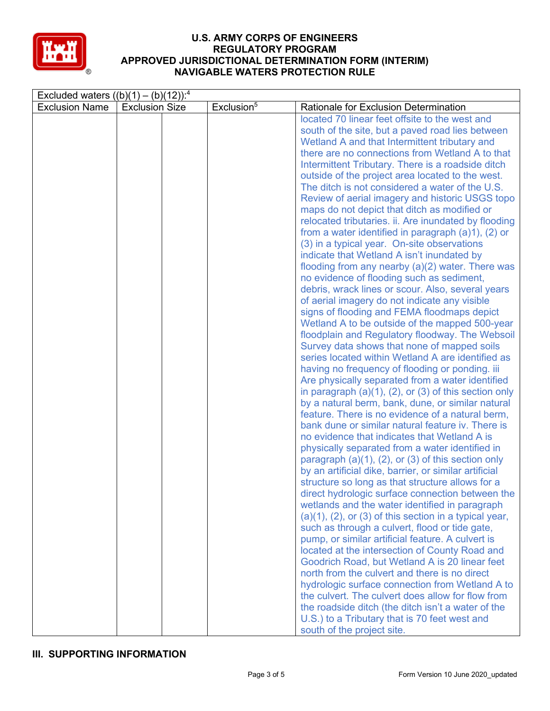

| Excluded waters $((b)(1) - (b)(12))$ : <sup>4</sup> |                       |  |                        |                                                                                                                                                                                                                                                                                                                                                                                                                                                                                                                                                                                                                                                                                                                                                                                                                                                                                                                                                                                                                                                                                                                                                                                                                                                                                                                                                                                                                                                                                                                                                                                                                                                                                                                                                                                                                                                                                                                                                                                                                                                                                                                                                                                                                                                                                                                                                                             |  |
|-----------------------------------------------------|-----------------------|--|------------------------|-----------------------------------------------------------------------------------------------------------------------------------------------------------------------------------------------------------------------------------------------------------------------------------------------------------------------------------------------------------------------------------------------------------------------------------------------------------------------------------------------------------------------------------------------------------------------------------------------------------------------------------------------------------------------------------------------------------------------------------------------------------------------------------------------------------------------------------------------------------------------------------------------------------------------------------------------------------------------------------------------------------------------------------------------------------------------------------------------------------------------------------------------------------------------------------------------------------------------------------------------------------------------------------------------------------------------------------------------------------------------------------------------------------------------------------------------------------------------------------------------------------------------------------------------------------------------------------------------------------------------------------------------------------------------------------------------------------------------------------------------------------------------------------------------------------------------------------------------------------------------------------------------------------------------------------------------------------------------------------------------------------------------------------------------------------------------------------------------------------------------------------------------------------------------------------------------------------------------------------------------------------------------------------------------------------------------------------------------------------------------------|--|
| <b>Exclusion Name</b>                               | <b>Exclusion Size</b> |  | Exclusion <sup>5</sup> | Rationale for Exclusion Determination                                                                                                                                                                                                                                                                                                                                                                                                                                                                                                                                                                                                                                                                                                                                                                                                                                                                                                                                                                                                                                                                                                                                                                                                                                                                                                                                                                                                                                                                                                                                                                                                                                                                                                                                                                                                                                                                                                                                                                                                                                                                                                                                                                                                                                                                                                                                       |  |
|                                                     |                       |  |                        | located 70 linear feet offsite to the west and<br>south of the site, but a paved road lies between<br>Wetland A and that Intermittent tributary and<br>there are no connections from Wetland A to that<br>Intermittent Tributary. There is a roadside ditch<br>outside of the project area located to the west.<br>The ditch is not considered a water of the U.S.<br>Review of aerial imagery and historic USGS topo<br>maps do not depict that ditch as modified or<br>relocated tributaries. ii. Are inundated by flooding<br>from a water identified in paragraph $(a)1$ , $(2)$ or<br>(3) in a typical year. On-site observations<br>indicate that Wetland A isn't inundated by<br>flooding from any nearby $(a)(2)$ water. There was<br>no evidence of flooding such as sediment,<br>debris, wrack lines or scour. Also, several years<br>of aerial imagery do not indicate any visible<br>signs of flooding and FEMA floodmaps depict<br>Wetland A to be outside of the mapped 500-year<br>floodplain and Regulatory floodway. The Websoil<br>Survey data shows that none of mapped soils<br>series located within Wetland A are identified as<br>having no frequency of flooding or ponding. iii<br>Are physically separated from a water identified<br>in paragraph $(a)(1)$ , $(2)$ , or $(3)$ of this section only<br>by a natural berm, bank, dune, or similar natural<br>feature. There is no evidence of a natural berm,<br>bank dune or similar natural feature iv. There is<br>no evidence that indicates that Wetland A is<br>physically separated from a water identified in<br>paragraph $(a)(1)$ , $(2)$ , or $(3)$ of this section only<br>by an artificial dike, barrier, or similar artificial<br>structure so long as that structure allows for a<br>direct hydrologic surface connection between the<br>wetlands and the water identified in paragraph<br>$(a)(1)$ , $(2)$ , or $(3)$ of this section in a typical year,<br>such as through a culvert, flood or tide gate,<br>pump, or similar artificial feature. A culvert is<br>located at the intersection of County Road and<br>Goodrich Road, but Wetland A is 20 linear feet<br>north from the culvert and there is no direct<br>hydrologic surface connection from Wetland A to<br>the culvert. The culvert does allow for flow from<br>the roadside ditch (the ditch isn't a water of the |  |
|                                                     |                       |  |                        |                                                                                                                                                                                                                                                                                                                                                                                                                                                                                                                                                                                                                                                                                                                                                                                                                                                                                                                                                                                                                                                                                                                                                                                                                                                                                                                                                                                                                                                                                                                                                                                                                                                                                                                                                                                                                                                                                                                                                                                                                                                                                                                                                                                                                                                                                                                                                                             |  |
|                                                     |                       |  |                        | U.S.) to a Tributary that is 70 feet west and<br>south of the project site.                                                                                                                                                                                                                                                                                                                                                                                                                                                                                                                                                                                                                                                                                                                                                                                                                                                                                                                                                                                                                                                                                                                                                                                                                                                                                                                                                                                                                                                                                                                                                                                                                                                                                                                                                                                                                                                                                                                                                                                                                                                                                                                                                                                                                                                                                                 |  |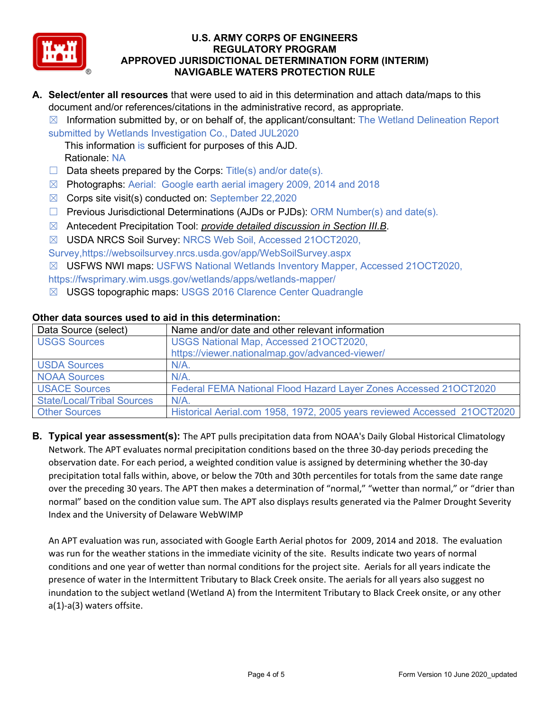

- **A. Select/enter all resources** that were used to aid in this determination and attach data/maps to this document and/or references/citations in the administrative record, as appropriate.
	- $\boxtimes$  Information submitted by, or on behalf of, the applicant/consultant: The Wetland Delineation Report

submitted by Wetlands Investigation Co., Dated JUL2020

This information is sufficient for purposes of this AJD. Rationale: NA

- $\Box$  Data sheets prepared by the Corps: Title(s) and/or date(s).
- ☒ Photographs: Aerial: Google earth aerial imagery 2009, 2014 and 2018
- ☒ Corps site visit(s) conducted on: September 22,2020
- ☐ Previous Jurisdictional Determinations (AJDs or PJDs): ORM Number(s) and date(s).
- ☒ Antecedent Precipitation Tool: *provide detailed discussion in Section III.B*.
- ☒ USDA NRCS Soil Survey: NRCS Web Soil, Accessed 21OCT2020,

Survey,https://websoilsurvey.nrcs.usda.gov/app/WebSoilSurvey.aspx

☒ USFWS NWI maps: USFWS National Wetlands Inventory Mapper, Accessed 21OCT2020,

- https://fwsprimary.wim.usgs.gov/wetlands/apps/wetlands-mapper/
- ☒ USGS topographic maps: USGS 2016 Clarence Center Quadrangle

| Data Source (select)              | Name and/or date and other relevant information                          |  |  |  |
|-----------------------------------|--------------------------------------------------------------------------|--|--|--|
| <b>USGS Sources</b>               | USGS National Map, Accessed 210CT2020,                                   |  |  |  |
|                                   | https://viewer.nationalmap.gov/advanced-viewer/                          |  |  |  |
| <b>USDA Sources</b>               | $N/A$ .                                                                  |  |  |  |
| <b>NOAA Sources</b>               | $N/A$ .                                                                  |  |  |  |
| <b>USACE Sources</b>              | Federal FEMA National Flood Hazard Layer Zones Accessed 210CT2020        |  |  |  |
| <b>State/Local/Tribal Sources</b> | $N/A$ .                                                                  |  |  |  |
| <b>Other Sources</b>              | Historical Aerial.com 1958, 1972, 2005 years reviewed Accessed 210CT2020 |  |  |  |

## **Other data sources used to aid in this determination:**

**B. Typical year assessment(s):** The APT pulls precipitation data from NOAA's Daily Global Historical Climatology Network. The APT evaluates normal precipitation conditions based on the three 30-day periods preceding the observation date. For each period, a weighted condition value is assigned by determining whether the 30-day precipitation total falls within, above, or below the 70th and 30th percentiles for totals from the same date range over the preceding 30 years. The APT then makes a determination of "normal," "wetter than normal," or "drier than normal" based on the condition value sum. The APT also displays results generated via the Palmer Drought Severity Index and the University of Delaware WebWIMP

An APT evaluation was run, associated with Google Earth Aerial photos for 2009, 2014 and 2018. The evaluation was run for the weather stations in the immediate vicinity of the site. Results indicate two years of normal conditions and one year of wetter than normal conditions for the project site. Aerials for all years indicate the presence of water in the Intermittent Tributary to Black Creek onsite. The aerials for all years also suggest no inundation to the subject wetland (Wetland A) from the Intermitent Tributary to Black Creek onsite, or any other a(1)-a(3) waters offsite.